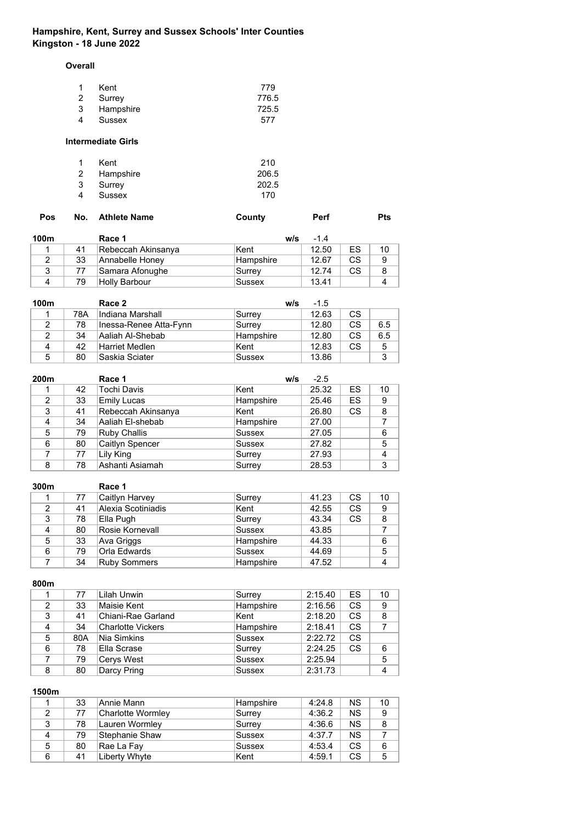# **Hampshire, Kent, Surrey and Sussex Schools' Inter Counties Kingston - 18 June 2022**

**Overall**

|   | Kent      | 779   |
|---|-----------|-------|
|   | 2 Surrey  | 776.5 |
| 3 | Hampshire | 725.5 |
| 4 | Sussex    | 577   |

### **Intermediate Girls**

| $\mathbf{1}$ | Kent        | 210   |
|--------------|-------------|-------|
|              | 2 Hampshire | 206.5 |
| 3            | Surrey      | 202.5 |
| 4            | Sussex      | 170   |

| Pos | No. Athlete Name | County | Perf | Pts |
|-----|------------------|--------|------|-----|
|     |                  |        |      |     |

| 100m |    | Race 1              | w/s       | $-1.4$ |    |    |
|------|----|---------------------|-----------|--------|----|----|
|      | 41 | ∣Rebeccah Akinsanya | Kent      | 12.50  | ES | 10 |
|      | 33 | Annabelle Honey     | Hampshire | 12.67  | CS | 9  |
|      | 77 | Samara Afonughe     | Surrey    | 12.74  | CS |    |
| Δ    | 79 | Holly Barbour       | Sussex    | 13.41  |    |    |

| 100m |     | Race 2                 | w/s              | $-1.5$ |           |     |
|------|-----|------------------------|------------------|--------|-----------|-----|
|      | 78A | Indiana Marshall       | Surrey           | 12.63  | CS.       |     |
| 2    | 78  | Inessa-Renee Atta-Fynn | Surrey           | 12.80  | <b>CS</b> | 6.5 |
|      | 34  | Aaliah Al-Shebab       | <b>Hampshire</b> | 12.80  | CS        | 6.5 |
| 4    | 42  | Harriet Medlen         | Kent             | 12.83  | <b>CS</b> | 5   |
| 5    | 80  | Saskia Sciater         | Sussex           | 13.86  |           | 3   |

| 200m |    | Race 1              | w/s           | $-2.5$ |           |                |
|------|----|---------------------|---------------|--------|-----------|----------------|
|      | 42 | Tochi Davis         | Kent          | 25.32  | ES        | 10             |
| 2    | 33 | <b>Emily Lucas</b>  | Hampshire     | 25.46  | ES        | 9              |
| 3    | 41 | Rebeccah Akinsanya  | Kent          | 26.80  | <b>CS</b> | 8              |
| 4    | 34 | Aaliah El-shebab    | Hampshire     | 27.00  |           |                |
| 5    | 79 | <b>Ruby Challis</b> | Sussex        | 27.05  |           | 6              |
| 6    | 80 | Caitlyn Spencer     | <b>Sussex</b> | 27.82  |           | 5              |
|      | 77 | Lily King           | Surrey        | 27.93  |           | $\overline{4}$ |
| 8    | 78 | Ashanti Asiamah     | Surrey        | 28.53  |           | 3              |

| 300m |    | Race 1              |               |       |           |    |
|------|----|---------------------|---------------|-------|-----------|----|
|      | 77 | Caitlyn Harvey      | Surrey        | 41.23 | CS        | 10 |
| 2    | 41 | Alexia Scotiniadis  | iKent         | 42.55 | <b>CS</b> | 9  |
| 3    | 78 | Ella Pugh           | Surrey        | 43.34 | <b>CS</b> | 8  |
| 4    | 80 | Rosie Kornevall     | <b>Sussex</b> | 43.85 |           |    |
| 5    | 33 | Ava Griggs          | Hampshire     | 44.33 |           | 6  |
| 6    | 79 | Orla Edwards        | Sussex        | 44.69 |           | 5  |
|      | 34 | <b>Ruby Sommers</b> | Hampshire     | 47.52 |           | 4  |

## **800m**

|   | 77  | Lilah Unwin              | Surrey        | 2:15.40 | <b>ES</b> | 10 |
|---|-----|--------------------------|---------------|---------|-----------|----|
| 2 | 33  | Maisie Kent              | Hampshire     | 2:16.56 | CS        | 9  |
| 3 | 41  | Chiani-Rae Garland       | Kent          | 2:18.20 | <b>CS</b> | 8  |
|   | 34  | <b>Charlotte Vickers</b> | Hampshire     | 2:18.41 | <b>CS</b> |    |
| 5 | 80A | Nia Simkins              | <b>Sussex</b> | 2:22.72 | <b>CS</b> |    |
| 6 | 78  | iElla Scrase             | Surrey        | 2:24.25 | CS        | 6  |
|   | 79  | Cerys West               | <b>Sussex</b> | 2:25.94 |           | 5  |
| 8 | 80  | Darcy Pring              | <b>Sussex</b> | 2:31.73 |           | 4  |

|   | 33 | Annie Mann        | Hampshire | 4:24.8 | NS.       | 10 |
|---|----|-------------------|-----------|--------|-----------|----|
|   | 77 | Charlotte Wormley | Surrey    | 4:36.2 | <b>NS</b> | 9  |
| 3 | 78 | Lauren Wormley    | Surrey    | 4:36.6 | <b>NS</b> | 8  |
| 4 | 79 | Stephanie Shaw    | Sussex    | 4:37.7 | <b>NS</b> |    |
| 5 | 80 | Rae La Fay        | Sussex    | 4:53.4 | <b>CS</b> | 6  |
| 6 | 41 | Liberty Whyte     | Kent      | 4:59.1 | <b>CS</b> | 5  |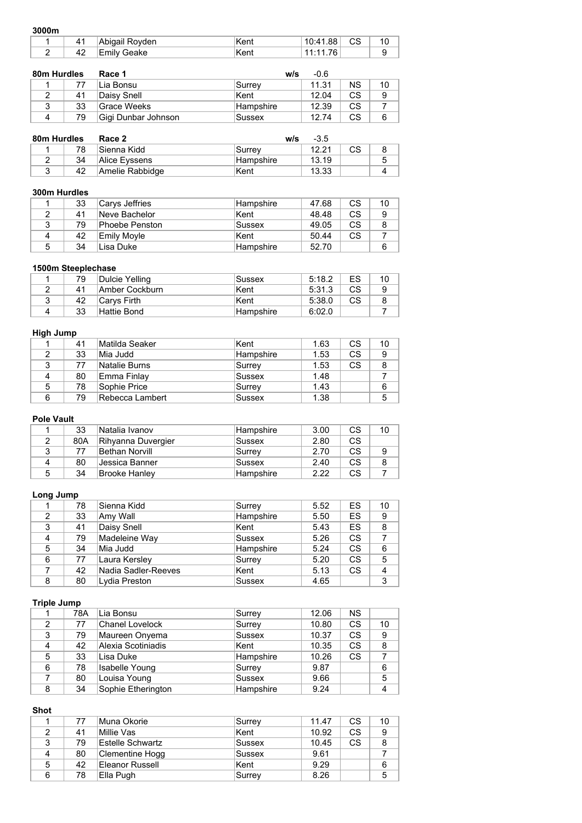#### **3000m**

| ------- |    |                |       |          |           |  |
|---------|----|----------------|-------|----------|-----------|--|
|         | 41 | Abigail Royden | ˈKent | 10:41.88 | <b>CS</b> |  |
|         | 42 | Emilv Geake    | ˈKent | 76.      |           |  |

| 80m Hurdles |    | Race 1              | w/s        | $-0.6$ |    |    |
|-------------|----|---------------------|------------|--------|----|----|
|             | 77 | Lia Bonsu           | ∣Surrev    | 11.31  | ΝS | 10 |
|             | 41 | Daisv Snell         | Kent       | 12.04  | СS | 9  |
| 3           | 33 | Grace Weeks         | ∣Hampshire | 12.39  | СS |    |
|             | 79 | Gigi Dunbar Johnson | Sussex     | 1274   | СS |    |

| 80m Hurdles |    | Race 2          | w/s              | $-3.5$ |    |   |
|-------------|----|-----------------|------------------|--------|----|---|
|             | 78 | ∣Sienna Kidd    | Surrev           | 12.21  | СS |   |
|             | 34 | Alice Eyssens   | <b>Hampshire</b> | 13.19  |    | 5 |
|             | 42 | Amelie Rabbidge | Kent             | 13.33  |    |   |

### **300m Hurdles**

|   | 33 | ∣Carys Jeffries | Hampshire  | 47.68 | СS | 10 |
|---|----|-----------------|------------|-------|----|----|
|   | 41 | Neve Bachelor   | Kent       | 48.48 | СS | 9  |
| 3 | 79 | Phoebe Penston  | Sussex     | 49.05 | СS | 8  |
|   | 42 | Emilv Movle     | ∣Kent      | 50.44 | СS |    |
| 5 | 34 | Lisa Duke       | ∣Hampshire | 52.70 |    | 6  |

## **1500m Steeplechase**

| 79 | Dulcie Yelling | <b>Sussex</b> | 5:18.2 | ES | 10 |
|----|----------------|---------------|--------|----|----|
| 41 | Amber Cockburn | ∣Kent         | 5:31.3 | СS |    |
| 42 | Carvs Firth    | Kent          | 5:38.0 | СS |    |
| 33 | Hattie Bond    | ∣Hampshire    | 6:02.0 |    |    |

## **High Jump**

|   | 41 | Matilda Seaker  | Kent             | 1.63 | CS. | 10 |
|---|----|-----------------|------------------|------|-----|----|
|   | 33 | Mia Judd        | <b>Hampshire</b> | 1.53 | CS  | 9  |
| ◠ | 77 | Natalie Burns   | Surrey           | 1.53 | CS. | 8  |
| 4 | 80 | Emma Finlay     | Sussex           | 1.48 |     |    |
| 5 | 78 | Sophie Price    | Surrey           | 1.43 |     | 6  |
| 6 | 79 | Rebecca Lambert | Sussex           | 1.38 |     | 5  |

# **Pole Vault**

|   | 33  | Natalia Ivanov     | ∣Hampshire       | 3.00 | <b>CS</b> | 10 |
|---|-----|--------------------|------------------|------|-----------|----|
|   | 80A | Rihyanna Duvergier | Sussex           | 2.80 | CS        |    |
|   | 77  | Bethan Norvill     | Surrey           | 2.70 | CS        |    |
|   | 80  | Jessica Banner     | Sussex           | 2.40 | CS.       |    |
| 5 | 34  | Brooke Hanley      | <b>Hampshire</b> | 2.22 | CS        |    |

# **Long Jump**

|   | 78 | Sienna Kidd         | Surrey        | 5.52 | ES        | 10 |
|---|----|---------------------|---------------|------|-----------|----|
|   | 33 | Amy Wall            | Hampshire     | 5.50 | ES        | 9  |
| 3 | 41 | Daisy Snell         | Kent          | 5.43 | ES        | 8  |
| 4 | 79 | Madeleine Way       | Sussex        | 5.26 | <b>CS</b> |    |
| 5 | 34 | Mia Judd            | Hampshire     | 5.24 | <b>CS</b> | 6  |
| 6 | 77 | Laura Kersley       | Surrey        | 5.20 | <b>CS</b> | 5  |
|   | 42 | Nadia Sadler-Reeves | Kent          | 5.13 | <b>CS</b> | 4  |
| 8 | 80 | Lydia Preston       | <b>Sussex</b> | 4.65 |           | 3  |

## **Triple Jump**

|   | 78A | ⊺Lia Bonsu             | Surrey    | 12.06 | <b>NS</b> |    |
|---|-----|------------------------|-----------|-------|-----------|----|
| 2 | 77  | <b>Chanel Lovelock</b> | Surrey    | 10.80 | <b>CS</b> | 10 |
| 3 | 79  | Maureen Onyema         | Sussex    | 10.37 | <b>CS</b> | 9  |
| 4 | 42  | Alexia Scotiniadis     | Kent      | 10.35 | <b>CS</b> | 8  |
| 5 | 33  | Lisa Duke              | Hampshire | 10.26 | <b>CS</b> |    |
| 6 | 78  | Isabelle Young         | Surrey    | 9.87  |           | 6  |
|   | 80  | Louisa Young           | Sussex    | 9.66  |           | 5  |
| 8 | 34  | Sophie Etherington     | Hampshire | 9.24  |           | 4  |

# **Shot**

|    | 77 | ∣Muna Okorie     | Surrey | 11.47 | <b>CS</b> | 10 |
|----|----|------------------|--------|-------|-----------|----|
|    | 41 | Millie Vas       | ∣Kent  | 10.92 | <b>CS</b> | 9  |
| 3  | 79 | Estelle Schwartz | Sussex | 10.45 | <b>CS</b> | 8  |
|    | 80 | Clementine Hogg  | Sussex | 9.61  |           |    |
| -5 | 42 | Eleanor Russell  | Kent   | 9.29  |           | 6  |
| 6  | 78 | Ella Pugh        | Surrey | 8.26  |           | 5  |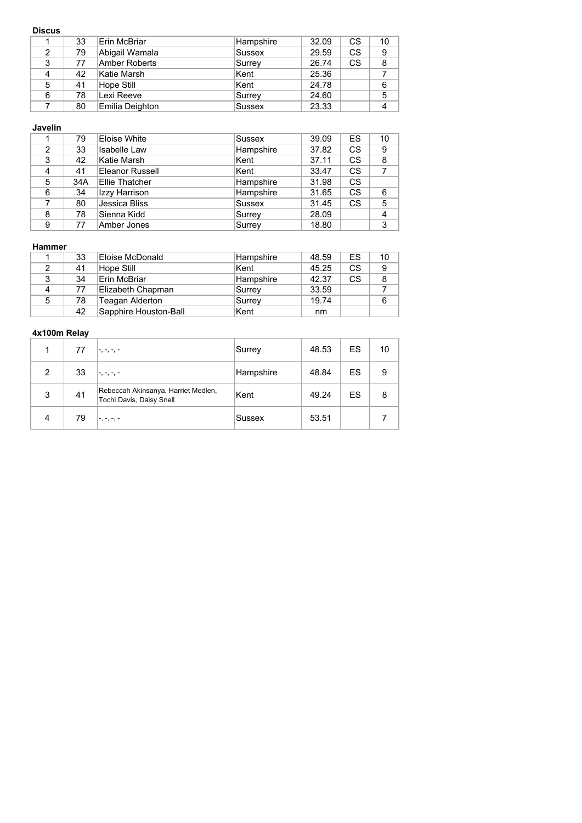### **Discus**

|   | 33 | Erin McBriar    | Hampshire     | 32.09 | CS | 10 |
|---|----|-----------------|---------------|-------|----|----|
| 2 | 79 | Abigail Wamala  | Sussex        | 29.59 | CS | 9  |
| 3 | 77 | Amber Roberts   | Surrey        | 26.74 | CS | 8  |
|   | 42 | Katie Marsh     | Kent          | 25.36 |    |    |
| 5 | 41 | Hope Still      | Kent          | 24.78 |    | 6  |
| 6 | 78 | Lexi Reeve      | Surrey        | 24.60 |    | 5  |
|   | 80 | Emilia Deighton | <b>Sussex</b> | 23.33 |    |    |

### **Javelin**

|   | 79  | Eloise White        | Sussex        | 39.09 | ES        | 10             |
|---|-----|---------------------|---------------|-------|-----------|----------------|
| 2 | 33  | <b>Isabelle Law</b> | Hampshire     | 37.82 | <b>CS</b> | 9              |
| 3 | 42  | Katie Marsh         | Kent          | 37.11 | <b>CS</b> | 8              |
| 4 | 41  | Eleanor Russell     | Kent          | 33.47 | <b>CS</b> |                |
| 5 | 34A | Ellie Thatcher      | Hampshire     | 31.98 | CS.       |                |
| 6 | 34  | Izzy Harrison       | Hampshire     | 31.65 | <b>CS</b> | 6              |
|   | 80  | Jessica Bliss       | <b>Sussex</b> | 31.45 | <b>CS</b> | 5              |
| 8 | 78  | Sienna Kidd         | Surrey        | 28.09 |           | $\overline{4}$ |
| 9 | 77  | Amber Jones         | Surrey        | 18.80 |           | 3              |

#### **Hammer**

|   | 33 | Eloise McDonald       | ∣Hampshire | 48.59 | ES | 10 |
|---|----|-----------------------|------------|-------|----|----|
|   | 41 | Hope Still            | ∣Kent      | 45.25 | CS | 9  |
|   | 34 | Erin McBriar          | Hampshire  | 42.37 | CS | 8  |
|   | 77 | Elizabeth Chapman     | Surrey     | 33.59 |    |    |
| 5 | 78 | Teagan Alderton       | Surrey     | 19.74 |    | 6  |
|   | 42 | Sapphire Houston-Ball | Kent       | nm    |    |    |

|               | 77 |                                                                 | Surrey    | 48.53 | ES | 10 |
|---------------|----|-----------------------------------------------------------------|-----------|-------|----|----|
| $\mathcal{P}$ | 33 | '-, -, -, -                                                     | Hampshire | 48.84 | ES | 9  |
| 3             | 41 | Rebeccah Akinsanya, Harriet Medlen,<br>Tochi Davis, Daisy Snell | Kent      | 49.24 | ES | 8  |
| 4             | 79 | .                                                               | Sussex    | 53.51 |    |    |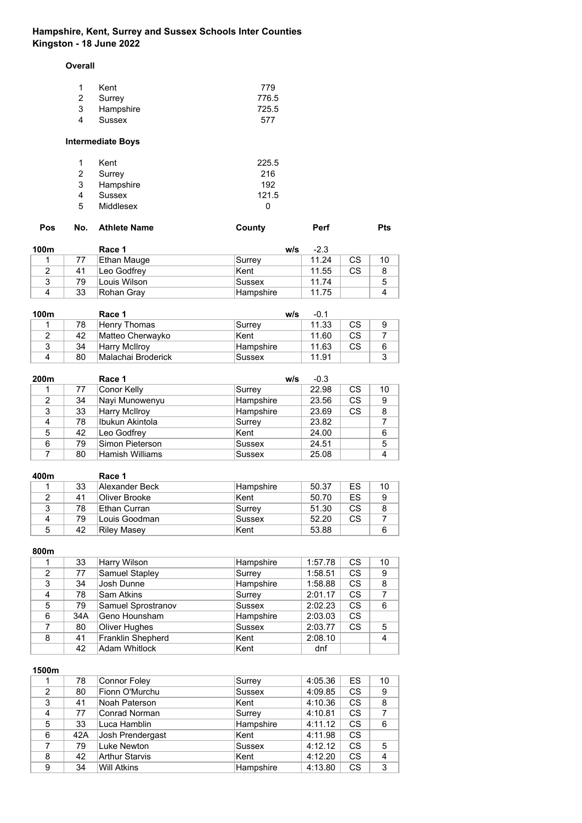# **Hampshire, Kent, Surrey and Sussex Schools Inter Counties Kingston - 18 June 2022**

**Overall**

| $\overline{1}$ | Kent        | 779   |
|----------------|-------------|-------|
|                | 2 Surrey    | 776.5 |
|                | 3 Hampshire | 725.5 |
| 4              | Sussex      | 577   |

# **Intermediate Boys**

| $\mathbf{1}$ | Kent      | 225.5        |
|--------------|-----------|--------------|
| 2            | Surrey    | 216          |
| 3            | Hampshire | 192          |
| 4            | Sussex    | 121.5        |
| .5           | Middlesex | $\mathbf{U}$ |

| No. Athlete Name<br>Pos | County | <b>Perf</b> | <b>Pts</b> |
|-------------------------|--------|-------------|------------|
|-------------------------|--------|-------------|------------|

| 100m |    | Race 1       | w/s        | $-2.3$ |    |    |
|------|----|--------------|------------|--------|----|----|
|      | 77 | Ethan Mauge  | Surrey     | 11.24  | СS | 10 |
|      | 41 | Leo Godfrey  | ∣Kent      | 11.55  | СS |    |
| ◠    | 79 | Louis Wilson | Sussex     | 11.74  |    | 5  |
|      | 33 | ∣Rohan Gray  | ∣Hampshire | 11.75  |    |    |

| 100m |    | Race 1             | w/s              | $-0.1$ |     |  |
|------|----|--------------------|------------------|--------|-----|--|
|      | 78 | Henry Thomas       | Surrey           | 11.33  | CS. |  |
|      | 42 | Matteo Cherwayko   | Kent             | 11.60  | СS  |  |
|      | 34 | Harry McIlroy      | <b>Hampshire</b> | 11.63  | СS  |  |
|      | 80 | Malachai Broderick | Sussex           | 11.91  |     |  |

| 200m |    | Race 1               | w/s           | $-0.3$ |           |    |
|------|----|----------------------|---------------|--------|-----------|----|
|      | 77 | Conor Kelly          | Surrey        | 22.98  | <b>CS</b> | 10 |
| 2    | 34 | Nayi Munowenyu       | Hampshire     | 23.56  | CS        | 9  |
| 3    | 33 | <b>Harry McIlroy</b> | Hampshire     | 23.69  | <b>CS</b> | 8  |
| 4    | 78 | Ibukun Akintola      | Surrey        | 23.82  |           |    |
| 5    | 42 | Leo Godfrey          | Kent          | 24.00  |           | 6  |
| 6    | 79 | Simon Pieterson      | <b>Sussex</b> | 24.51  |           | 5  |
|      | 80 | Hamish Williams      | <b>Sussex</b> | 25.08  |           | 4  |

| 400m |    | Race 1         |            |       |     |    |
|------|----|----------------|------------|-------|-----|----|
|      | 33 | Alexander Beck | ∣Hampshire | 50.37 | ES  | 10 |
|      | 41 | Oliver Brooke  | Kent       | 50.70 | ES  | 9  |
| 2    | 78 | Ethan Curran   | Surrey     | 51.30 | CS. |    |
| 4    | 79 | Louis Goodman  | Sussex     | 52.20 | CS  |    |
| 5    | 42 | Riley Masey    | Kent       | 53.88 |     | 6  |

## **800m**

|   | 33  | Harry Wilson         | Hampshire     | 1:57.78 | CS        | 10 |
|---|-----|----------------------|---------------|---------|-----------|----|
| 2 | 77  | Samuel Stapley       | Surrey        | 1:58.51 | <b>CS</b> | 9  |
| 3 | 34  | Josh Dunne           | Hampshire     | 1:58.88 | <b>CS</b> | 8  |
| 4 | 78  | Sam Atkins           | Surrey        | 2:01.17 | <b>CS</b> | 7  |
| 5 | 79  | Samuel Sprostranov   | Sussex        | 2:02.23 | CS        | 6  |
| 6 | 34A | Geno Hounsham        | Hampshire     | 2:03.03 | <b>CS</b> |    |
|   | 80  | Oliver Hughes        | <b>Sussex</b> | 2:03.77 | <b>CS</b> | 5  |
| 8 | 41  | Franklin Shepherd    | Kent          | 2:08.10 |           | 4  |
|   | 42  | <b>Adam Whitlock</b> | Kent          | dnf     |           |    |

|                | 78  | <b>Connor Foley</b>   | Surrey        | 4:05.36 | ES        | 10             |
|----------------|-----|-----------------------|---------------|---------|-----------|----------------|
| $\mathfrak{p}$ | 80  | Fionn O'Murchu        | <b>Sussex</b> | 4:09.85 | CS        | 9              |
| 3              | 41  | Noah Paterson         | Kent          | 4:10.36 | <b>CS</b> | 8              |
| 4              | 77  | Conrad Norman         | Surrey        | 4:10.81 | CS        | $\overline{7}$ |
| 5              | 33  | Luca Hamblin          | Hampshire     | 4:11.12 | CS        | 6              |
| 6              | 42A | Josh Prendergast      | Kent          | 4:11.98 | <b>CS</b> |                |
|                | 79  | Luke Newton           | Sussex        | 4:12.12 | CS        | 5              |
| 8              | 42  | <b>Arthur Starvis</b> | Kent          | 4:12.20 | CS        | 4              |
| 9              | 34  | <b>Will Atkins</b>    | Hampshire     | 4:13.80 | CS        | 3              |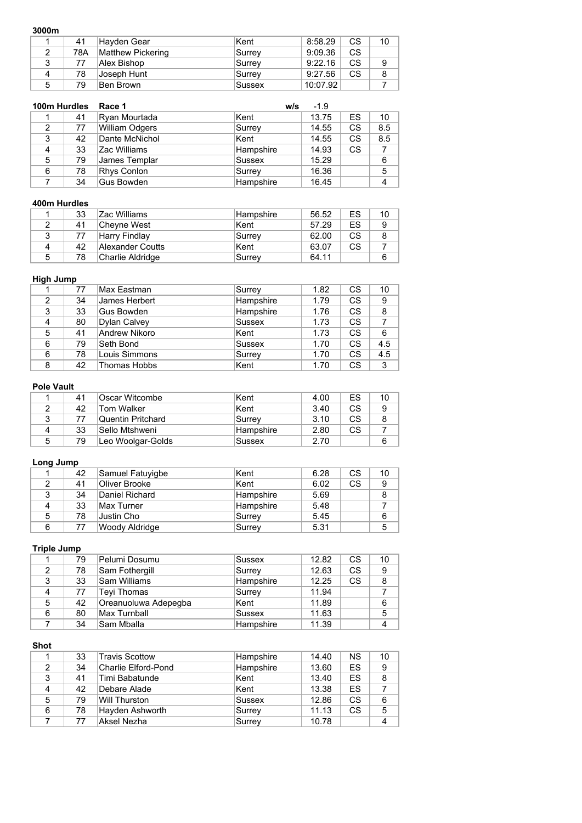#### **3000m**

| ------        |     |                   |        |          |    |    |
|---------------|-----|-------------------|--------|----------|----|----|
|               | 41  | ∣Hayden Gear      | Kent   | 8:58.29  | CS | 10 |
| $\mathcal{P}$ | 78A | Matthew Pickering | Surrey | 9:09.36  | CS |    |
| 3             | 77  | Alex Bishop       | Surrey | 9:22.16  | CS |    |
| Δ             | 78  | Joseph Hunt       | Surrey | 9:27.56  | CS |    |
| 5             | 79  | Ben Brown         | Sussex | 10:07.92 |    |    |

| 100m Hurdles |    | Race 1                | w/s       | $-1.9$ |    |     |
|--------------|----|-----------------------|-----------|--------|----|-----|
|              | 41 | Ryan Mourtada         | Kent      | 13.75  | ES | 10  |
| 2            | 77 | <b>William Odgers</b> | Surrey    | 14.55  | CS | 8.5 |
| 3            | 42 | Dante McNichol        | Kent      | 14.55  | CS | 8.5 |
| 4            | 33 | Zac Williams          | Hampshire | 14.93  | CS |     |
| 5            | 79 | James Templar         | Sussex    | 15.29  |    | 6   |
| 6            | 78 | Rhys Conlon           | Surrey    | 16.36  |    | 5   |
|              | 34 | Gus Bowden            | Hampshire | 16.45  |    | 4   |

### **400m Hurdles**

|   | 33 | Zac Williams     | Hampshire | 56.52 | ES | 10 |
|---|----|------------------|-----------|-------|----|----|
|   | 41 | ∣Cheyne West     | ∣Kent     | 57.29 | ES | q  |
|   | 77 | Harry Findlay    | Surrey    | 62.00 | СS |    |
|   | 42 | Alexander Coutts | ∣Kent     | 63.07 | СS |    |
| 5 | 78 | Charlie Aldridge | Surrey    | 64.11 |    | 6  |

## **High Jump**

|               | 77 | Max Eastman   | Surrey        | 1.82 | <b>CS</b> | 10  |
|---------------|----|---------------|---------------|------|-----------|-----|
| $\mathcal{P}$ | 34 | James Herbert | Hampshire     | 1.79 | <b>CS</b> | 9   |
| 3             | 33 | Gus Bowden    | Hampshire     | 1.76 | <b>CS</b> | 8   |
| 4             | 80 | Dylan Calvey  | <b>Sussex</b> | 1.73 | <b>CS</b> |     |
| 5             | 41 | Andrew Nikoro | Kent          | 1.73 | <b>CS</b> | 6   |
| 6             | 79 | Seth Bond     | <b>Sussex</b> | 1.70 | <b>CS</b> | 4.5 |
| 6             | 78 | Louis Simmons | Surrey        | 1.70 | <b>CS</b> | 4.5 |
| 8             | 42 | Thomas Hobbs  | Kent          | 1.70 | <b>CS</b> | 3   |

#### **Pole Vault**

|   | 41 | ∣Oscar Witcombe   | Kent      | 4.00 | ES | 10 |
|---|----|-------------------|-----------|------|----|----|
|   | 42 | Tom Walker        | Kent      | 3.40 | CS | 9  |
| ≏ |    | Quentin Pritchard | Surrev    | 3.10 | CS |    |
|   | 33 | Sello Mtshweni    | Hampshire | 2.80 | CS |    |
| 5 | 79 | Leo Woolgar-Golds | Sussex    | 2.70 |    |    |

# **Long Jump**

|   | 42 | Samuel Fatuyigbe | Kent      | 6.28 | CS.       | 10 |
|---|----|------------------|-----------|------|-----------|----|
|   | 41 | Oliver Brooke    | Kent      | 6.02 | <b>CS</b> | 9  |
| 3 | 34 | Daniel Richard   | Hampshire | 5.69 |           | 8  |
|   | 33 | Max Turner       | Hampshire | 5.48 |           |    |
| 5 | 78 | Justin Cho       | Surrev    | 5.45 |           | 6  |
| 6 | 77 | Woody Aldridge   | Surrey    | 5.31 |           | 5  |

# **Triple Jump**

|   | 79 | Pelumi Dosumu        | Sussex    | 12.82 | <b>CS</b> | 10 |
|---|----|----------------------|-----------|-------|-----------|----|
|   | 78 | Sam Fothergill       | Surrey    | 12.63 | <b>CS</b> | 9  |
| 3 | 33 | Sam Williams         | Hampshire | 12.25 | <b>CS</b> | 8  |
| 4 | 77 | Teyi Thomas          | Surrey    | 11.94 |           |    |
| 5 | 42 | Oreanuoluwa Adepegba | Kent      | 11.89 |           | 6  |
| 6 | 80 | <b>Max Turnball</b>  | Sussex    | 11.63 |           | 5  |
|   | 34 | Sam Mballa           | Hampshire | 11.39 |           | 4  |

## **Shot**

|   | 33 | <b>Travis Scottow</b> | Hampshire | 14.40 | <b>NS</b> | 10 |
|---|----|-----------------------|-----------|-------|-----------|----|
|   | 34 | Charlie Elford-Pond   | Hampshire | 13.60 | ES.       | 9  |
| 3 | 41 | Timi Babatunde        | Kent      | 13.40 | ES        | 8  |
| 4 | 42 | Debare Alade          | Kent      | 13.38 | ES        |    |
| 5 | 79 | Will Thurston         | Sussex    | 12.86 | <b>CS</b> | 6  |
| 6 | 78 | Hayden Ashworth       | Surrey    | 11.13 | <b>CS</b> | 5  |
|   | 77 | Aksel Nezha           | Surrey    | 10.78 |           | 4  |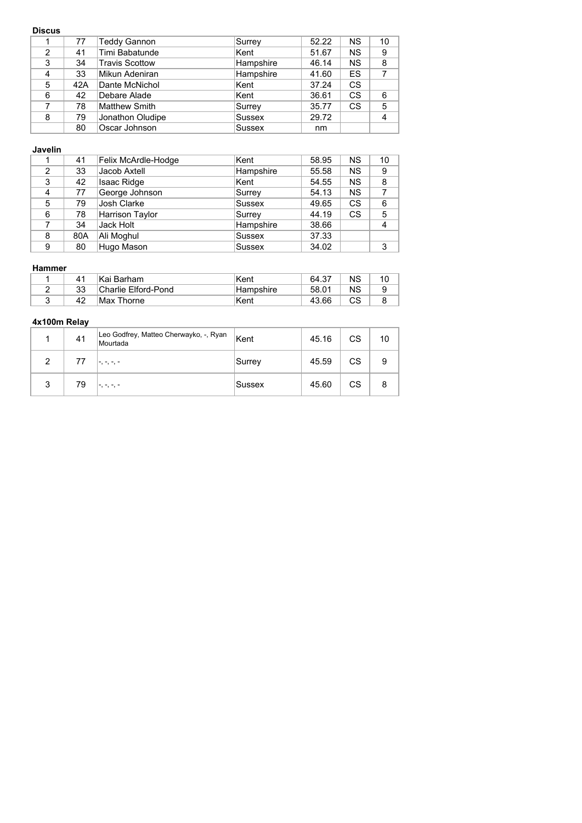### **Discus**

|                | 77  | <b>Teddy Gannon</b> | Surrey        | 52.22 | <b>NS</b> | 10 |
|----------------|-----|---------------------|---------------|-------|-----------|----|
| $\mathfrak{p}$ | 41  | Timi Babatunde      | Kent          | 51.67 | <b>NS</b> | 9  |
| 3              | 34  | Travis Scottow      | Hampshire     | 46.14 | <b>NS</b> | 8  |
| 4              | 33  | Mikun Adeniran      | Hampshire     | 41.60 | ES        |    |
| 5              | 42A | Dante McNichol      | Kent          | 37.24 | CS        |    |
| 6              | 42  | Debare Alade        | Kent          | 36.61 | CS        | 6  |
|                | 78  | Matthew Smith       | Surrey        | 35.77 | CS        | 5  |
| 8              | 79  | Jonathon Oludipe    | <b>Sussex</b> | 29.72 |           | 4  |
|                | 80  | Oscar Johnson       | <b>Sussex</b> | nm    |           |    |

## **Javelin**

|   | 41  | Felix McArdle-Hodge    | Kent          | 58.95 | <b>NS</b> | 10             |
|---|-----|------------------------|---------------|-------|-----------|----------------|
| 2 | 33  | Jacob Axtell           | Hampshire     | 55.58 | <b>NS</b> | 9              |
| 3 | 42  | <b>Isaac Ridge</b>     | Kent          | 54.55 | <b>NS</b> | 8              |
| 4 | 77  | George Johnson         | Surrey        | 54.13 | <b>NS</b> | 7              |
| 5 | 79  | Josh Clarke            | Sussex        | 49.65 | CS        | 6              |
| 6 | 78  | <b>Harrison Taylor</b> | Surrey        | 44.19 | CS        | 5              |
|   | 34  | Jack Holt              | Hampshire     | 38.66 |           | $\overline{4}$ |
| 8 | 80A | Ali Moghul             | <b>Sussex</b> | 37.33 |           |                |
| 9 | 80  | Hugo Mason             | <b>Sussex</b> | 34.02 |           | 3              |

### **Hammer**

| $\mathbf{A}$ | ∣Kai Barham         | Kent                   | 64.37 | <b>NS</b> |  |
|--------------|---------------------|------------------------|-------|-----------|--|
| 33           | Charlie Elford-Pond | <sup>≀</sup> Hampshire | 58.01 | ΝS        |  |
| 42           | Max Thorne          | Kent                   | 43.66 | СS        |  |

|   | 41 | Leo Godfrey, Matteo Cherwayko, -, Ryan<br>Mourtada | <sup>∣</sup> Kent | 45.16 | CS | 10 |
|---|----|----------------------------------------------------|-------------------|-------|----|----|
| 2 | 77 |                                                    | Surrey            | 45.59 | CS | 9  |
| 3 | 79 |                                                    | <b>Sussex</b>     | 45.60 | CS |    |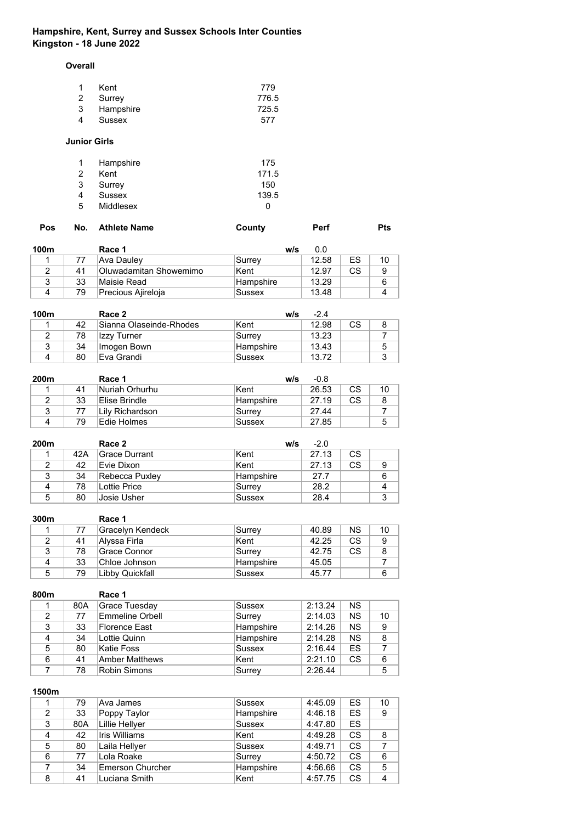# **Hampshire, Kent, Surrey and Sussex Schools Inter Counties Kingston - 18 June 2022**

**Overall**

|   | Kent      | 779   |
|---|-----------|-------|
|   | 2 Surrey  | 776.5 |
| 3 | Hampshire | 725.5 |
| 4 | Sussex    | 577   |

### **Junior Girls**

| Hampshire | 175   |
|-----------|-------|
| Kent      | 171.5 |
| Surrey    | 150   |
| Sussex    | 139.5 |
| Middlesex | O     |
|           |       |

| <b>Pos</b> |  | No. Athlete Name | County | <b>Perf</b> | <b>Pts</b> |
|------------|--|------------------|--------|-------------|------------|
|------------|--|------------------|--------|-------------|------------|

| 100m |    | Race 1                 | w/s              | 0.0   |    |    |
|------|----|------------------------|------------------|-------|----|----|
|      | 77 | Ava Daulev             | Surrey           | 12.58 | ES | 10 |
|      | 41 | Oluwadamitan Showemimo | Kent             | 12.97 | СS |    |
|      | 33 | Maisie Read            | <b>Hampshire</b> | 13.29 |    |    |
|      | 79 | Precious Ajireloja     | Sussex           | 13.48 |    |    |

| 100m |    | Race 2                  | w/s       | $-2.4$ |    |  |
|------|----|-------------------------|-----------|--------|----|--|
|      | 42 | Sianna Olaseinde-Rhodes | Kent      | 12.98  | СS |  |
|      | 78 | Izzy Turner             | ∣Surrev   | 13.23  |    |  |
|      | 34 | Imogen Bown             | Hampshire | 13.43  |    |  |
|      | 80 | Eva Grandi              | Sussex    | 13.72  |    |  |

| 200 <sub>m</sub> |    | Race 1           | w/s       | $-0.8$ |    |    |
|------------------|----|------------------|-----------|--------|----|----|
|                  | 41 | Nuriah Orhurhu   | Kent      | 26.53  | СS | 10 |
|                  | 33 | Elise Brindle    | Hampshire | 27.19  | СS |    |
|                  |    | ∣Lilv Richardson | ∣Surrev   | 27.44  |    |    |
|                  | 79 | Edie Holmes      | Sussex    | 27.85  |    | 5  |

| 200m |     | Race 2          | w/s           | $-2.0$ |    |   |
|------|-----|-----------------|---------------|--------|----|---|
|      | 42A | Grace Durrant   | Kent          | 27.13  | CS |   |
|      | 42  | Evie Dixon      | Kent          | 27.13  | CS | 9 |
| 3    | 34  | Rebecca Puxley  | Hampshire     | 27.7   |    | 6 |
| Δ    | 78  | Il ottie Price. | Surrey        | 28.2   |    |   |
| 5    | 80  | Josie Usher     | <b>Sussex</b> | 28.4   |    |   |

| 300m   |    | Race 1           |               |       |     |    |
|--------|----|------------------|---------------|-------|-----|----|
|        | 77 | Gracelyn Kendeck | Surrey        | 40.89 | ΝS  | 10 |
|        | 41 | ∣Alyssa Firla    | Kent          | 42.25 | CS  | 9  |
| ∘<br>J | 78 | Grace Connor     | Surrev        | 42.75 | CS. |    |
| 4      | 33 | Chloe Johnson    | Hampshire     | 45.05 |     |    |
| 5      | 79 | ∣Libb∨ Quickfall | <b>Sussex</b> | 45.77 |     | 6  |

| 800m          |     | Race 1          |               |         |           |    |
|---------------|-----|-----------------|---------------|---------|-----------|----|
|               | 80A | Grace Tuesday   | <b>Sussex</b> | 2:13.24 | <b>NS</b> |    |
| $\mathcal{P}$ | 77  | Emmeline Orbell | Surrey        | 2:14.03 | <b>NS</b> | 10 |
| 3             | 33  | Florence East   | Hampshire     | 2:14.26 | <b>NS</b> | 9  |
| 4             | 34  | Lottie Quinn    | Hampshire     | 2:14.28 | <b>NS</b> | 8  |
| 5             | 80  | Katie Foss      | <b>Sussex</b> | 2:16.44 | ES        | 7  |
| 6             | 41  | Amber Matthews  | Kent          | 2:21.10 | CS        | 6  |
|               | 78  | Robin Simons    | Surrey        | 2:26.44 |           | 5  |

|   | 79  | Ava James               | Sussex    | 4:45.09 | ES | 10 |
|---|-----|-------------------------|-----------|---------|----|----|
| 2 | 33  | Poppy Taylor            | Hampshire | 4:46.18 | ES | 9  |
| 3 | 80A | Lillie Hellyer          | Sussex    | 4:47.80 | ES |    |
| 4 | 42  | Iris Williams           | Kent      | 4:49.28 | CS | 8  |
| 5 | 80  | Laila Hellyer           | Sussex    | 4:49.71 | CS |    |
| 6 | 77  | Lola Roake              | Surrey    | 4:50.72 | CS | 6  |
|   | 34  | <b>Emerson Churcher</b> | Hampshire | 4:56.66 | CS | 5  |
| 8 | 41  | Luciana Smith           | Kent      | 4:57.75 | CS |    |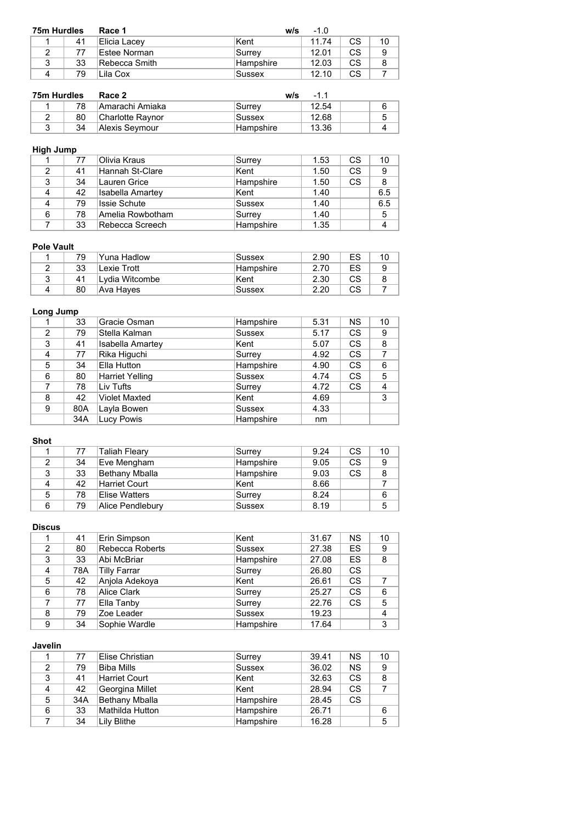| 75m Hurdles |    | Race 1         | w/s        | $-1.0$ |           |    |
|-------------|----|----------------|------------|--------|-----------|----|
|             | 41 | Elicia Lacey   | Kent       | 11.74  | <b>CS</b> | 10 |
|             | 77 | Estee Norman   | ∣Surrev    | 12.01  | CS.       | 9  |
| ◠           | 33 | lRebecca Smith | ∣Hampshire | 12.03  | СS        | 8  |
|             | 79 | Lila Cox       | Sussex     | 12.10  | СS        |    |

| 75m Hurdles |    | Race 2           | w/s              | $-11$ |   |
|-------------|----|------------------|------------------|-------|---|
|             | 78 | Amarachi Amiaka  | Surrev           | 12.54 | 6 |
|             | 80 | Charlotte Raynor | Sussex           | 12.68 |   |
|             | 34 | Alexis Seymour   | <b>Hampshire</b> | 13.36 |   |

# **High Jump**

|   | 77 | Olivia Kraus     | Surrey    | 1.53 | <b>CS</b> | 10  |
|---|----|------------------|-----------|------|-----------|-----|
| 2 | 41 | Hannah St-Clare  | Kent      | 1.50 | <b>CS</b> | 9   |
| 2 | 34 | Lauren Grice     | Hampshire | 1.50 | <b>CS</b> | 8   |
|   | 42 | Isabella Amartey | Kent      | 1.40 |           | 6.5 |
|   | 79 | Issie Schute     | Sussex    | 1.40 |           | 6.5 |
| 6 | 78 | Amelia Rowbotham | Surrey    | 1.40 |           | 5   |
|   | 33 | Rebecca Screech  | Hampshire | 1.35 |           |     |

### **Pole Vault**

| 79 | Yuna Hadlow     | Sussex    | 2.90 | ES | 10 |
|----|-----------------|-----------|------|----|----|
| 33 | Lexie Trott     | Hampshire | 2.70 | ES | 9  |
| 41 | ∣Lvdia Witcombe | Kent      | 2.30 | СS | 8  |
| 80 | Ava Hayes       | Sussex    | 2.20 | СS |    |

# **Long Jump**

|                | 33  | Gracie Osman            | Hampshire     | 5.31 | NS.       | 10 |
|----------------|-----|-------------------------|---------------|------|-----------|----|
| $\mathfrak{p}$ | 79  | Stella Kalman           | <b>Sussex</b> | 5.17 | CS.       | 9  |
| 3              | 41  | <b>Isabella Amartey</b> | Kent          | 5.07 | CS.       | 8  |
| 4              | 77  | Rika Higuchi            | Surrey        | 4.92 | CS.       | 7  |
| 5              | 34  | Ella Hutton             | Hampshire     | 4.90 | CS        | 6  |
| 6              | 80  | Harriet Yelling         | Sussex        | 4.74 | CS.       | 5  |
|                | 78  | Liv Tufts               | Surrey        | 4.72 | <b>CS</b> | 4  |
| 8              | 42  | <b>Violet Maxted</b>    | Kent          | 4.69 |           | 3  |
| 9              | 80A | Layla Bowen             | <b>Sussex</b> | 4.33 |           |    |
|                | 34A | <b>Lucy Powis</b>       | Hampshire     | nm   |           |    |

## **Shot**

|   | 77 | ⊺Taliah Fleary   | Surrev        | 9.24 | <b>CS</b> | 10 |
|---|----|------------------|---------------|------|-----------|----|
|   | 34 | Eve Mengham      | Hampshire     | 9.05 | <b>CS</b> | 9  |
|   | 33 | Bethany Mballa   | Hampshire     | 9.03 | CS.       |    |
|   | 42 | Harriet Court    | Kent          | 8.66 |           |    |
| 5 | 78 | Elise Watters    | Surrey        | 8.24 |           | 6  |
| 6 | 79 | Alice Pendlebury | <b>Sussex</b> | 8.19 |           |    |

### **Discus**

|   | 41  | Erin Simpson    | Kent          | 31.67 | <b>NS</b> | 10 |
|---|-----|-----------------|---------------|-------|-----------|----|
| 2 | 80  | Rebecca Roberts | <b>Sussex</b> | 27.38 | ES        | 9  |
| 3 | 33  | Abi McBriar     | Hampshire     | 27.08 | ES        | 8  |
| 4 | 78A | Tilly Farrar    | Surrey        | 26.80 | CS        |    |
| 5 | 42  | Anjola Adekoya  | Kent          | 26.61 | CS        |    |
| 6 | 78  | Alice Clark     | Surrey        | 25.27 | CS        | 6  |
|   | 77  | Ella Tanby      | Surrey        | 22.76 | CS        | 5  |
| 8 | 79  | Zoe Leader      | <b>Sussex</b> | 19.23 |           | 4  |
| 9 | 34  | Sophie Wardle   | Hampshire     | 17.64 |           | 3  |

## **Javelin**

|   | 77  | Elise Christian   | Surrey        | 39.41 | <b>NS</b> | 10 |
|---|-----|-------------------|---------------|-------|-----------|----|
|   | 79  | <b>Biba Mills</b> | <b>Sussex</b> | 36.02 | <b>NS</b> | 9  |
| 3 | 41  | Harriet Court     | Kent          | 32.63 | <b>CS</b> | 8  |
| 4 | 42  | Georgina Millet   | Kent          | 28.94 | <b>CS</b> |    |
| 5 | 34A | Bethany Mballa    | Hampshire     | 28.45 | <b>CS</b> |    |
| 6 | 33  | Mathilda Hutton   | Hampshire     | 26.71 |           | 6  |
|   | 34  | Lilv Blithe       | Hampshire     | 16.28 |           | 5  |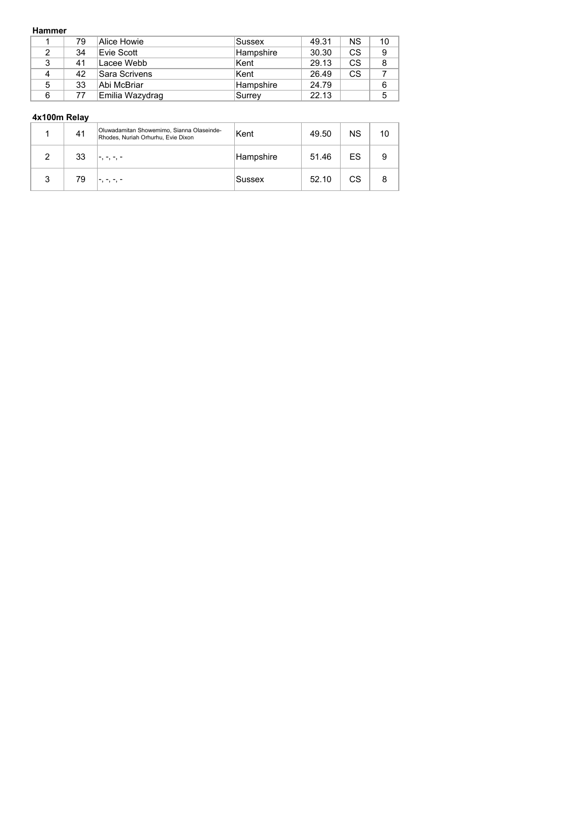#### **Hammer**

|   | 79 | Alice Howie     | Sussex    | 49.31 | ΝS        | 10 |
|---|----|-----------------|-----------|-------|-----------|----|
| 2 | 34 | Evie Scott      | Hampshire | 30.30 | <b>CS</b> | 9  |
| 3 | 41 | Lacee Webb      | ∣Kent     | 29.13 | CS.       | 8  |
| 4 | 42 | Sara Scrivens   | ∣Kent     | 26.49 | CS        |    |
| 5 | 33 | ∣Abi McBriar_   | Hampshire | 24.79 |           | 6  |
| 6 | 77 | Emilia Wazydrag | Surrey    | 22.13 |           | 5  |

| Oluwadamitan Showemimo, Sianna Olaseinde-<br>Kent<br><b>NS</b><br>41<br>10 <sup>°</sup><br>49.50<br>Rhodes, Nuriah Orhurhu, Evie Dixon<br>ES<br>33<br>51.46<br>Hampshire<br>2<br>9 | 4x100m Relay |  |  |  |  |  |  |  |  |
|------------------------------------------------------------------------------------------------------------------------------------------------------------------------------------|--------------|--|--|--|--|--|--|--|--|
|                                                                                                                                                                                    |              |  |  |  |  |  |  |  |  |
|                                                                                                                                                                                    |              |  |  |  |  |  |  |  |  |
| 52.10<br>СS<br>3<br>79<br>8<br><b>Sussex</b>                                                                                                                                       |              |  |  |  |  |  |  |  |  |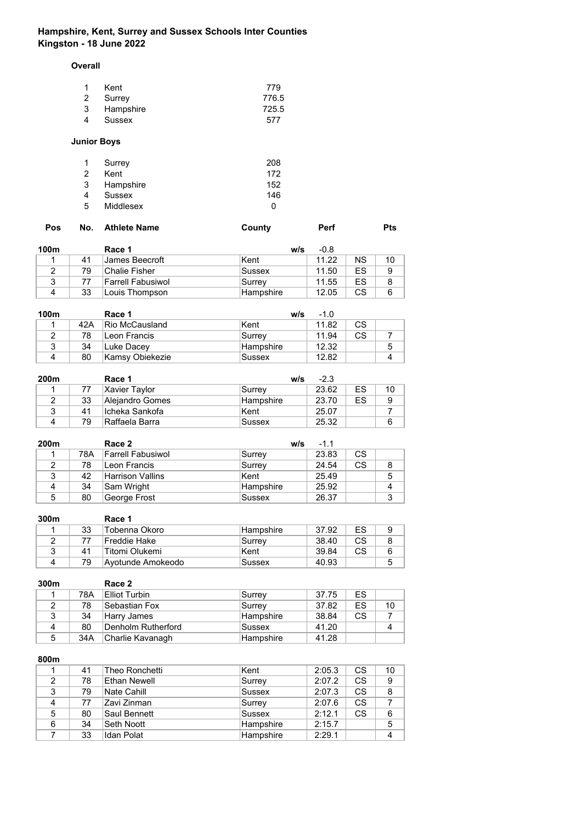# **Hampshire, Kent, Surrey and Sussex Schools Inter Counties Kingston - 18 June 2022**

### **Overall**

| Kent        | 779   |
|-------------|-------|
| 2 Surrey    | 776.5 |
| 3 Hampshire | 725.5 |
| Sussex      | 577   |
|             |       |

# **Junior Boys**

| 1 | Surrey    | 208 |
|---|-----------|-----|
| 2 | Kent      | 172 |
| 3 | Hampshire | 152 |
|   | Sussex    | 146 |
| 5 | Middlesex | O   |

| No. Athlete Name<br>Pos<br>County | Perf | <b>Pts</b> |
|-----------------------------------|------|------------|
|-----------------------------------|------|------------|

| 100m |    | Race 1            | w/s       | $-0.8$ |           |    |
|------|----|-------------------|-----------|--------|-----------|----|
|      | 41 | James Beecroft    | Kent      | 11.22  | <b>NS</b> | 10 |
|      | 79 | Chalie Fisher     | Sussex    | 11.50  | ES        |    |
|      |    | Farrell Fabusiwol | Surrev    | 11.55  | ES        |    |
|      | 33 | Louis Thompson    | Hampshire | 12.05  | CS        |    |

| 100m |      | Race 1          | w/s        | $-1.0$ |    |  |
|------|------|-----------------|------------|--------|----|--|
|      | 42 A | Rio McCausland  | Kent       | 11.82  | СS |  |
|      | 78   | lLeon Francis   | ∣Surrev    | 11.94  | СS |  |
| ົ    | 34   | Luke Dacev      | ∣Hampshire | 12.32  |    |  |
|      | 80   | Kamsy Obiekezie | Sussex     | 12.82  |    |  |

| 200m |    | Race 1          | w/s       | $-2.3$ |    |    |
|------|----|-----------------|-----------|--------|----|----|
|      |    | Xavier Taylor   | ∣Surrev   | 23.62  | ES | 10 |
|      | 33 | Alejandro Gomes | Hampshire | 23.70  | ES | 9  |
| 3    | 41 | ∣Icheka Sankofa | Kent      | 25.07  |    |    |
|      | 79 | Raffaela Barra  | Sussex    | 25.32  |    | 6  |

| 200m |     | Race 2            | w/s       | $-1.1$ |           |   |
|------|-----|-------------------|-----------|--------|-----------|---|
|      | 78A | Farrell Fabusiwol | Surrey    | 23.83  | <b>CS</b> |   |
|      | 78  | Leon Francis      | Surrey    | 24.54  | <b>CS</b> |   |
| ◠    | 42  | Harrison Vallins  | Kent      | 25.49  |           | 5 |
|      | 34  | ∣Sam Wright       | Hampshire | 25.92  |           |   |
| 5    | 80  | George Frost      | Sussex    | 26.37  |           | 3 |

| 300m |    | Race 1            |           |       |     |  |
|------|----|-------------------|-----------|-------|-----|--|
|      | 33 | Tobenna Okoro     | Hampshire | 37.92 | ES  |  |
|      | 77 | Freddie Hake      | Surrey    | 38.40 | CS. |  |
|      | 41 | Titomi Olukemi    | Kent      | 39.84 | СS  |  |
| 4    | 79 | Avotunde Amokeodo | Sussex    | 40.93 |     |  |

| 300m |     | Race 2               |           |       |           |    |
|------|-----|----------------------|-----------|-------|-----------|----|
|      | 78A | <b>Elliot Turbin</b> | Surrey    | 37.75 | ES        |    |
|      | 78  | Sebastian Fox        | Surrey    | 37.82 | ES        | 10 |
| 3    | 34  | Harry James          | Hampshire | 38.84 | <b>CS</b> |    |
| Δ    | 80  | Denholm Rutherford   | Sussex    | 41.20 |           |    |
| 5    | 34A | Charlie Kavanagh     | Hampshire | 41.28 |           |    |

|   | 41 | Theo Ronchetti | Kent      | 2:05.3 | CS. | 10 |
|---|----|----------------|-----------|--------|-----|----|
| 2 | 78 | Ethan Newell   | Surrey    | 2:07.2 | CS. | 9  |
| 3 | 79 | Nate Cahill    | Sussex    | 2:07.3 | CS. | 8  |
| 4 | 77 | Zavi Zinman    | Surrey    | 2:07.6 | CS. |    |
| 5 | 80 | Saul Bennett   | Sussex    | 2:12.1 | CS  | 6  |
| 6 | 34 | ∣Seth Noott    | Hampshire | 2:15.7 |     | 5  |
|   | 33 | Idan Polat     | Hampshire | 2:29.1 |     |    |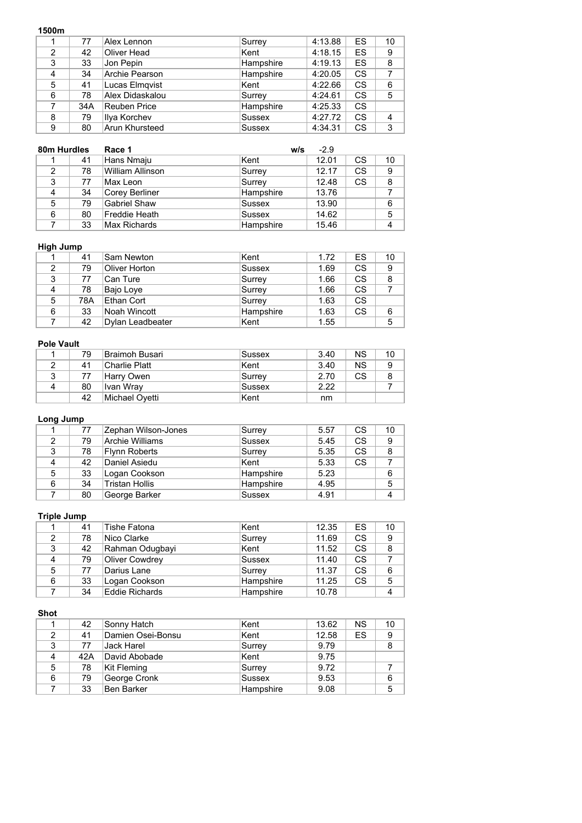#### **1500m**

| ווטטטו         |     |                       |               |         |           |                |
|----------------|-----|-----------------------|---------------|---------|-----------|----------------|
|                | 77  | Alex Lennon           | Surrey        | 4:13.88 | ES.       | 10             |
| $\mathfrak{p}$ | 42  | Oliver Head           | Kent          | 4:18.15 | ES        | 9              |
| 3              | 33  | Jon Pepin             | Hampshire     | 4:19.13 | ES        | 8              |
| 4              | 34  | Archie Pearson        | Hampshire     | 4:20.05 | <b>CS</b> | 7              |
| 5              | 41  | Lucas Elmqvist        | Kent          | 4:22.66 | CS.       | 6              |
| 6              | 78  | Alex Didaskalou       | Surrey        | 4:24.61 | <b>CS</b> | 5              |
|                | 34A | <b>Reuben Price</b>   | Hampshire     | 4:25.33 | <b>CS</b> |                |
| 8              | 79  | Ilya Korchev          | <b>Sussex</b> | 4:27.72 | <b>CS</b> | $\overline{4}$ |
| 9              | 80  | <b>Arun Khursteed</b> | <b>Sussex</b> | 4:34.31 | <b>CS</b> | 3              |

| 80m Hurdles |    | Race 1              | W/S           | $-2.9$ |           |    |
|-------------|----|---------------------|---------------|--------|-----------|----|
|             | 41 | Hans Nmaju          | Kent          | 12.01  | <b>CS</b> | 10 |
| 2           | 78 | William Allinson    | Surrey        | 12.17  | <b>CS</b> | 9  |
| 3           | 77 | Max Leon            | Surrey        | 12.48  | <b>CS</b> | 8  |
| 4           | 34 | Corey Berliner      | Hampshire     | 13.76  |           |    |
| 5           | 79 | <b>Gabriel Shaw</b> | Sussex        | 13.90  |           | 6  |
| 6           | 80 | ⊦Freddie Heath      | <b>Sussex</b> | 14.62  |           | 5  |
|             | 33 | Max Richards        | Hampshire     | 15.46  |           | 4  |

### **High Jump**

|   | 41  | Sam Newton       | Kent          | 1.72 | ES        | 10 |
|---|-----|------------------|---------------|------|-----------|----|
| 2 | 79  | Oliver Horton    | <b>Sussex</b> | 1.69 | CS        | 9  |
| 3 | 77  | ∣Can Ture        | Surrey        | 1.66 | CS.       | 8  |
| 4 | 78  | Bajo Loye        | Surrey        | 1.66 | CS.       |    |
| 5 | 78A | Ethan Cort       | Surrey        | 1.63 | <b>CS</b> |    |
| 6 | 33  | Noah Wincott     | Hampshire     | 1.63 | <b>CS</b> | 6  |
|   | 42  | Dylan Leadbeater | Kent          | 1.55 |           | 5  |

### **Pole Vault**

|   | 79 | Braimoh Busari | Sussex  | 3.40 | <b>NS</b> | 10 |
|---|----|----------------|---------|------|-----------|----|
|   | 41 | ∣Charlie Platt | ∣Kent   | 3.40 | <b>NS</b> |    |
|   | 77 | Harry Owen     | ∣Surrev | 2.70 | CS.       |    |
| 4 | 80 | ∣Ivan Wray     | Sussex  | 2.22 |           |    |
|   | 42 | Michael Ovetti | ∣Kent   | nm   |           |    |

# **Long Jump**

|   | 77 | Zephan Wilson-Jones | Surrey        | 5.57 | CS        | 10 |
|---|----|---------------------|---------------|------|-----------|----|
| 2 | 79 | Archie Williams     | <b>Sussex</b> | 5.45 | <b>CS</b> | 9  |
| 3 | 78 | Flynn Roberts       | Surrey        | 5.35 | <b>CS</b> | 8  |
| 4 | 42 | Daniel Asiedu       | Kent          | 5.33 | CS        |    |
| 5 | 33 | Logan Cookson       | Hampshire     | 5.23 |           | 6  |
| 6 | 34 | Tristan Hollis      | Hampshire     | 4.95 |           | 5  |
|   | 80 | George Barker       | <b>Sussex</b> | 4.91 |           | 4  |

# **Triple Jump**

|   | 41 | Tishe Fatona          | Kent      | 12.35 | ES        | 10 |
|---|----|-----------------------|-----------|-------|-----------|----|
| 2 | 78 | Nico Clarke           | Surrey    | 11.69 | <b>CS</b> | 9  |
| 3 | 42 | Rahman Odugbayi       | ∣Kent     | 11.52 | CS.       | 8  |
| 4 | 79 | <b>Oliver Cowdrey</b> | Sussex    | 11.40 | CS.       |    |
| 5 | 77 | Darius Lane           | Surrey    | 11.37 | CS.       | 6  |
| 6 | 33 | Logan Cookson         | Hampshire | 11.25 | <b>CS</b> | 5  |
|   | 34 | <b>Eddie Richards</b> | Hampshire | 10.78 |           |    |

## **Shot**

|   | 42  | ∣Sonny Hatch      | Kent          | 13.62 | NS. | 10 |
|---|-----|-------------------|---------------|-------|-----|----|
|   | 41  | Damien Osei-Bonsu | Kent          | 12.58 | ES  | 9  |
| 3 | 77  | Jack Harel        | Surrey        | 9.79  |     | 8  |
| 4 | 42A | David Abobade     | Kent          | 9.75  |     |    |
| 5 | 78  | Kit Fleming       | Surrey        | 9.72  |     |    |
| 6 | 79  | George Cronk      | <b>Sussex</b> | 9.53  |     | 6  |
|   | 33  | Ben Barker        | Hampshire     | 9.08  |     | 5  |